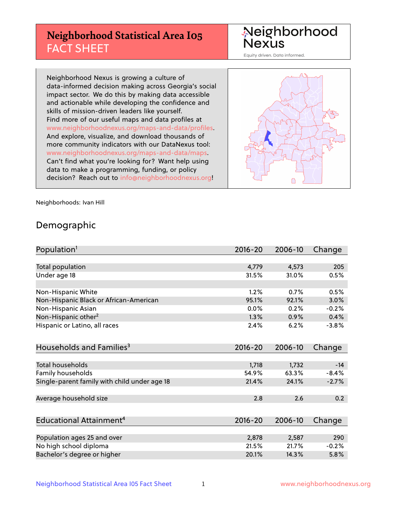## **Neighborhood Statistical Area I05** FACT SHEET

Neighborhood Nexus

Equity driven. Data informed.

Neighborhood Nexus is growing a culture of data-informed decision making across Georgia's social impact sector. We do this by making data accessible and actionable while developing the confidence and skills of mission-driven leaders like yourself. Find more of our useful maps and data profiles at www.neighborhoodnexus.org/maps-and-data/profiles. And explore, visualize, and download thousands of more community indicators with our DataNexus tool: www.neighborhoodnexus.org/maps-and-data/maps. Can't find what you're looking for? Want help using data to make a programming, funding, or policy decision? Reach out to [info@neighborhoodnexus.org!](mailto:info@neighborhoodnexus.org)



Neighborhoods: Ivan Hill

### Demographic

| Population <sup>1</sup>                      | $2016 - 20$ | 2006-10 | Change  |
|----------------------------------------------|-------------|---------|---------|
|                                              |             |         |         |
| Total population                             | 4,779       | 4,573   | 205     |
| Under age 18                                 | 31.5%       | 31.0%   | 0.5%    |
|                                              |             |         |         |
| Non-Hispanic White                           | 1.2%        | 0.7%    | 0.5%    |
| Non-Hispanic Black or African-American       | 95.1%       | 92.1%   | 3.0%    |
| Non-Hispanic Asian                           | 0.0%        | 0.2%    | $-0.2%$ |
| Non-Hispanic other <sup>2</sup>              | 1.3%        | 0.9%    | 0.4%    |
| Hispanic or Latino, all races                | 2.4%        | 6.2%    | $-3.8%$ |
|                                              |             |         |         |
| Households and Families <sup>3</sup>         | $2016 - 20$ | 2006-10 | Change  |
|                                              |             |         |         |
| <b>Total households</b>                      | 1,718       | 1,732   | $-14$   |
| Family households                            | 54.9%       | 63.3%   | $-8.4%$ |
| Single-parent family with child under age 18 | 21.4%       | 24.1%   | $-2.7%$ |
|                                              |             |         |         |
| Average household size                       | 2.8         | 2.6     | 0.2     |
|                                              |             |         |         |
| Educational Attainment <sup>4</sup>          | $2016 - 20$ | 2006-10 | Change  |
|                                              |             |         |         |
| Population ages 25 and over                  | 2,878       | 2,587   | 290     |
| No high school diploma                       | 21.5%       | 21.7%   | $-0.2%$ |
| Bachelor's degree or higher                  | 20.1%       | 14.3%   | 5.8%    |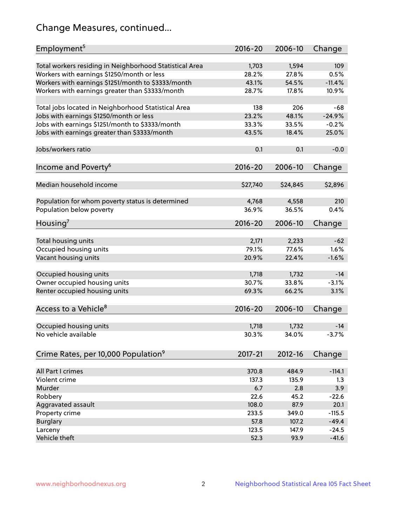## Change Measures, continued...

| Employment <sup>5</sup>                                 | $2016 - 20$    | 2006-10        | Change      |
|---------------------------------------------------------|----------------|----------------|-------------|
|                                                         |                |                |             |
| Total workers residing in Neighborhood Statistical Area | 1,703<br>28.2% | 1,594<br>27.8% | 109<br>0.5% |
| Workers with earnings \$1250/month or less              | 43.1%          | 54.5%          | $-11.4%$    |
| Workers with earnings \$1251/month to \$3333/month      | 28.7%          | 17.8%          | 10.9%       |
| Workers with earnings greater than \$3333/month         |                |                |             |
| Total jobs located in Neighborhood Statistical Area     | 138            | 206            | -68         |
| Jobs with earnings \$1250/month or less                 | 23.2%          | 48.1%          | $-24.9%$    |
| Jobs with earnings \$1251/month to \$3333/month         | 33.3%          | 33.5%          | $-0.2%$     |
| Jobs with earnings greater than \$3333/month            | 43.5%          | 18.4%          | 25.0%       |
|                                                         |                |                |             |
| Jobs/workers ratio                                      | 0.1            | 0.1            | $-0.0$      |
|                                                         |                |                |             |
| Income and Poverty <sup>6</sup>                         | 2016-20        | 2006-10        | Change      |
|                                                         |                |                |             |
| Median household income                                 | \$27,740       | \$24,845       | \$2,896     |
| Population for whom poverty status is determined        | 4,768          | 4,558          | 210         |
| Population below poverty                                | 36.9%          | 36.5%          | 0.4%        |
|                                                         |                |                |             |
| Housing <sup>7</sup>                                    | $2016 - 20$    | 2006-10        | Change      |
|                                                         |                |                |             |
| Total housing units                                     | 2,171          | 2,233          | $-62$       |
| Occupied housing units                                  | 79.1%          | 77.6%          | 1.6%        |
| Vacant housing units                                    | 20.9%          | 22.4%          | $-1.6%$     |
|                                                         |                |                |             |
| Occupied housing units                                  | 1,718          | 1,732          | $-14$       |
| Owner occupied housing units                            | 30.7%          | 33.8%          | $-3.1%$     |
| Renter occupied housing units                           | 69.3%          | 66.2%          | 3.1%        |
| Access to a Vehicle <sup>8</sup>                        | $2016 - 20$    | 2006-10        |             |
|                                                         |                |                | Change      |
| Occupied housing units                                  | 1,718          | 1,732          | $-14$       |
| No vehicle available                                    | 30.3%          | 34.0%          | $-3.7%$     |
|                                                         |                |                |             |
| Crime Rates, per 10,000 Population <sup>9</sup>         | 2017-21        | 2012-16        | Change      |
|                                                         |                |                |             |
| All Part I crimes                                       | 370.8          | 484.9          | $-114.1$    |
| Violent crime                                           | 137.3          | 135.9          | 1.3         |
| Murder                                                  | 6.7            | 2.8            | 3.9         |
| Robbery                                                 | 22.6           | 45.2           | $-22.6$     |
| Aggravated assault                                      | 108.0          | 87.9           | 20.1        |
| Property crime                                          | 233.5          | 349.0          | $-115.5$    |
| <b>Burglary</b>                                         | 57.8           | 107.2          | $-49.4$     |
| Larceny                                                 | 123.5          | 147.9          | $-24.5$     |
| Vehicle theft                                           | 52.3           | 93.9           | $-41.6$     |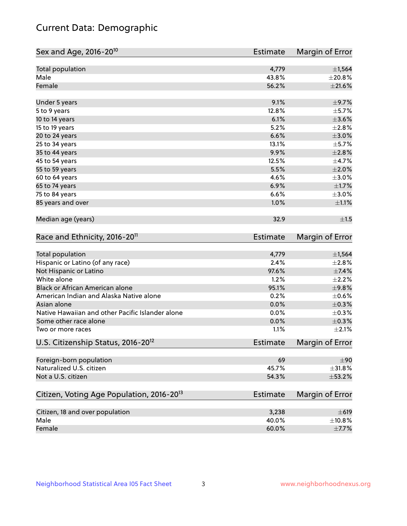## Current Data: Demographic

| Sex and Age, 2016-20 <sup>10</sup>                    | <b>Estimate</b> | Margin of Error |
|-------------------------------------------------------|-----------------|-----------------|
| Total population                                      | 4,779           | ±1,564          |
| Male                                                  | 43.8%           | ±20.8%          |
| Female                                                | 56.2%           | $\pm 21.6\%$    |
| Under 5 years                                         | 9.1%            | $\pm$ 9.7%      |
| 5 to 9 years                                          | 12.8%           | $\pm$ 5.7%      |
| 10 to 14 years                                        | 6.1%            | $\pm 3.6\%$     |
| 15 to 19 years                                        | 5.2%            | ±2.8%           |
| 20 to 24 years                                        | 6.6%            | $\pm 3.0\%$     |
| 25 to 34 years                                        | 13.1%           | $\pm$ 5.7%      |
| 35 to 44 years                                        | 9.9%            | $\pm 2.8\%$     |
| 45 to 54 years                                        | 12.5%           | $\pm$ 4.7%      |
| 55 to 59 years                                        | 5.5%            | $\pm 2.0\%$     |
| 60 to 64 years                                        | 4.6%            | $\pm 3.0\%$     |
| 65 to 74 years                                        | 6.9%            | $\pm1.7\%$      |
| 75 to 84 years                                        | 6.6%            | $\pm 3.0\%$     |
| 85 years and over                                     | 1.0%            | $\pm 1.1\%$     |
| Median age (years)                                    | 32.9            | ±1.5            |
| Race and Ethnicity, 2016-20 <sup>11</sup>             | <b>Estimate</b> | Margin of Error |
| <b>Total population</b>                               | 4,779           | ±1,564          |
| Hispanic or Latino (of any race)                      | 2.4%            | ±2.8%           |
| Not Hispanic or Latino                                | 97.6%           | $\pm$ 7.4%      |
| White alone                                           | 1.2%            | $\pm 2.2\%$     |
| Black or African American alone                       | 95.1%           | ±9.8%           |
| American Indian and Alaska Native alone               | 0.2%            | $\pm$ 0.6%      |
| Asian alone                                           | 0.0%            | $\pm$ 0.3%      |
| Native Hawaiian and other Pacific Islander alone      | 0.0%            | $\pm$ 0.3%      |
| Some other race alone                                 | 0.0%            | $\pm$ 0.3%      |
| Two or more races                                     | 1.1%            | $\pm 2.1\%$     |
| U.S. Citizenship Status, 2016-20 <sup>12</sup>        | Estimate        | Margin of Error |
| Foreign-born population                               | 69              | $\pm 90$        |
| Naturalized U.S. citizen                              | 45.7%           | ±31.8%          |
| Not a U.S. citizen                                    | 54.3%           | ±53.2%          |
| Citizen, Voting Age Population, 2016-20 <sup>13</sup> | <b>Estimate</b> | Margin of Error |
| Citizen, 18 and over population                       | 3,238           | $\pm 619$       |
| Male                                                  | 40.0%           | ±10.8%          |
| Female                                                | 60.0%           | $\pm$ 7.7%      |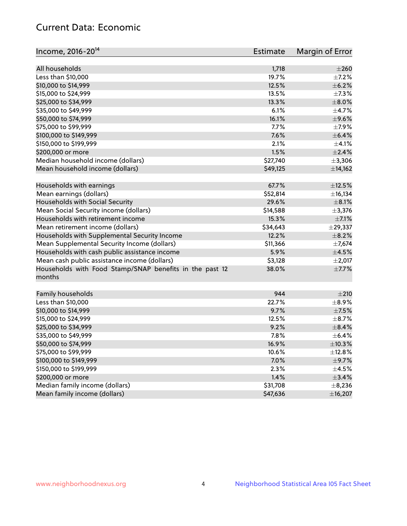## Current Data: Economic

| Income, 2016-20 <sup>14</sup>                           | Estimate | Margin of Error |
|---------------------------------------------------------|----------|-----------------|
|                                                         |          |                 |
| All households                                          | 1,718    | $\pm 260$       |
| Less than \$10,000                                      | 19.7%    | $\pm$ 7.2%      |
| \$10,000 to \$14,999                                    | 12.5%    | $\pm$ 6.2%      |
| \$15,000 to \$24,999                                    | 13.5%    | $\pm$ 7.3%      |
| \$25,000 to \$34,999                                    | 13.3%    | $\pm$ 8.0%      |
| \$35,000 to \$49,999                                    | 6.1%     | $\pm$ 4.7%      |
| \$50,000 to \$74,999                                    | 16.1%    | $\pm$ 9.6%      |
| \$75,000 to \$99,999                                    | 7.7%     | $\pm$ 7.9%      |
| \$100,000 to \$149,999                                  | 7.6%     | $\pm$ 6.4%      |
| \$150,000 to \$199,999                                  | 2.1%     | $\pm 4.1\%$     |
| \$200,000 or more                                       | 1.5%     | $\pm 2.4\%$     |
| Median household income (dollars)                       | \$27,740 | ±3,306          |
| Mean household income (dollars)                         | \$49,125 | ±14,162         |
| Households with earnings                                | 67.7%    | $\pm$ 12.5%     |
| Mean earnings (dollars)                                 | \$52,814 | ±16,134         |
| Households with Social Security                         | 29.6%    | $\pm$ 8.1%      |
| Mean Social Security income (dollars)                   | \$14,588 | ±3,376          |
| Households with retirement income                       | 15.3%    | $\pm$ 7.1%      |
| Mean retirement income (dollars)                        | \$34,643 | $±$ 29,337      |
| Households with Supplemental Security Income            | 12.2%    | $\pm$ 8.2%      |
| Mean Supplemental Security Income (dollars)             | \$11,366 | $\pm$ 7,674     |
| Households with cash public assistance income           | 5.9%     | $\pm$ 4.5%      |
| Mean cash public assistance income (dollars)            | \$3,128  | $\pm 2,017$     |
| Households with Food Stamp/SNAP benefits in the past 12 | 38.0%    | $\pm$ 7.7%      |
| months                                                  |          |                 |
|                                                         | 944      | ±210            |
| Family households                                       | 22.7%    | $\pm$ 8.9%      |
| Less than \$10,000<br>\$10,000 to \$14,999              |          | $\pm$ 7.5%      |
|                                                         | 9.7%     |                 |
| \$15,000 to \$24,999                                    | 12.5%    | $\pm$ 8.7%      |
| \$25,000 to \$34,999                                    | 9.2%     | $\pm$ 8.4%      |
| \$35,000 to \$49,999                                    | 7.8%     | $\pm$ 6.4%      |
| \$50,000 to \$74,999                                    | 16.9%    | ±10.3%          |
| \$75,000 to \$99,999                                    | 10.6%    | ±12.8%          |
| \$100,000 to \$149,999                                  | 7.0%     | $\pm$ 9.7%      |
| \$150,000 to \$199,999                                  | 2.3%     | $\pm 4.5\%$     |
| \$200,000 or more                                       | 1.4%     | $\pm$ 3.4%      |
| Median family income (dollars)                          | \$31,708 | $\pm$ 8,236     |
| Mean family income (dollars)                            | \$47,636 | ±16,207         |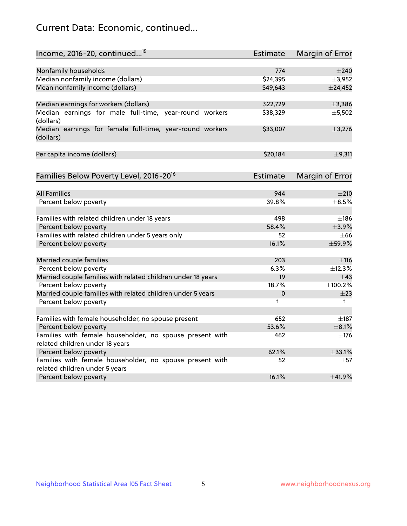## Current Data: Economic, continued...

| Income, 2016-20, continued <sup>15</sup>                                                    | <b>Estimate</b> | Margin of Error        |
|---------------------------------------------------------------------------------------------|-----------------|------------------------|
|                                                                                             |                 |                        |
| Nonfamily households                                                                        | 774             | $\pm 240$              |
| Median nonfamily income (dollars)                                                           | \$24,395        | ±3,952                 |
| Mean nonfamily income (dollars)                                                             | \$49,643        | $±$ 24,452             |
| Median earnings for workers (dollars)                                                       | \$22,729        | ±3,386                 |
| Median earnings for male full-time, year-round workers<br>(dollars)                         | \$38,329        | ±5,502                 |
| Median earnings for female full-time, year-round workers<br>(dollars)                       | \$33,007        | ±3,276                 |
| Per capita income (dollars)                                                                 | \$20,184        | $\pm$ 9,311            |
| Families Below Poverty Level, 2016-20 <sup>16</sup>                                         | <b>Estimate</b> | <b>Margin of Error</b> |
|                                                                                             |                 |                        |
| <b>All Families</b>                                                                         | 944             | $\pm 210$              |
| Percent below poverty                                                                       | 39.8%           | $\pm$ 8.5%             |
| Families with related children under 18 years                                               | 498             | $\pm$ 186              |
| Percent below poverty                                                                       | 58.4%           | ±3.9%                  |
| Families with related children under 5 years only                                           | 52              | $\pm 66$               |
| Percent below poverty                                                                       | 16.1%           | ±59.9%                 |
| Married couple families                                                                     | 203             | ±116                   |
| Percent below poverty                                                                       | 6.3%            | ±12.3%                 |
| Married couple families with related children under 18 years                                | 19              | $\pm$ 43               |
| Percent below poverty                                                                       | 18.7%           | ±100.2%                |
| Married couple families with related children under 5 years                                 | 0               | $\pm 23$               |
| Percent below poverty                                                                       | $\ddagger$      | $^+$                   |
|                                                                                             |                 |                        |
| Families with female householder, no spouse present                                         | 652             | $\pm$ 187              |
| Percent below poverty                                                                       | 53.6%           | $\pm$ 8.1%             |
| Families with female householder, no spouse present with<br>related children under 18 years | 462             | $\pm$ 176              |
| Percent below poverty                                                                       | 62.1%           | ±33.1%                 |
| Families with female householder, no spouse present with                                    | 52              | $\pm 57$               |
| related children under 5 years                                                              |                 |                        |
| Percent below poverty                                                                       | 16.1%           | ±41.9%                 |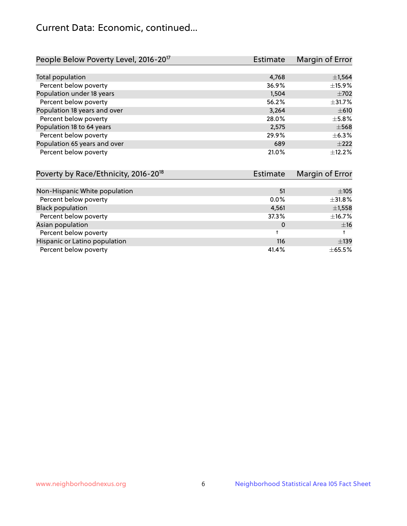## Current Data: Economic, continued...

| People Below Poverty Level, 2016-20 <sup>17</sup> | <b>Estimate</b> | Margin of Error |
|---------------------------------------------------|-----------------|-----------------|
|                                                   |                 |                 |
| Total population                                  | 4,768           | $\pm$ 1,564     |
| Percent below poverty                             | 36.9%           | ±15.9%          |
| Population under 18 years                         | 1,504           | $\pm 702$       |
| Percent below poverty                             | 56.2%           | ±31.7%          |
| Population 18 years and over                      | 3,264           | $\pm 610$       |
| Percent below poverty                             | 28.0%           | $\pm$ 5.8%      |
| Population 18 to 64 years                         | 2,575           | $\pm$ 568       |
| Percent below poverty                             | 29.9%           | $\pm$ 6.3%      |
| Population 65 years and over                      | 689             | $+222$          |
| Percent below poverty                             | 21.0%           | $+12.2%$        |

| Poverty by Race/Ethnicity, 2016-20 <sup>18</sup> | Estimate | Margin of Error |
|--------------------------------------------------|----------|-----------------|
|                                                  |          |                 |
| Non-Hispanic White population                    | 51       | $\pm 105$       |
| Percent below poverty                            | $0.0\%$  | $\pm$ 31.8%     |
| <b>Black population</b>                          | 4,561    | $\pm$ 1,558     |
| Percent below poverty                            | 37.3%    | $\pm$ 16.7%     |
| Asian population                                 | 0        | ±16             |
| Percent below poverty                            |          |                 |
| Hispanic or Latino population                    | 116      | $\pm$ 139       |
| Percent below poverty                            | 41.4%    | $\pm$ 65.5%     |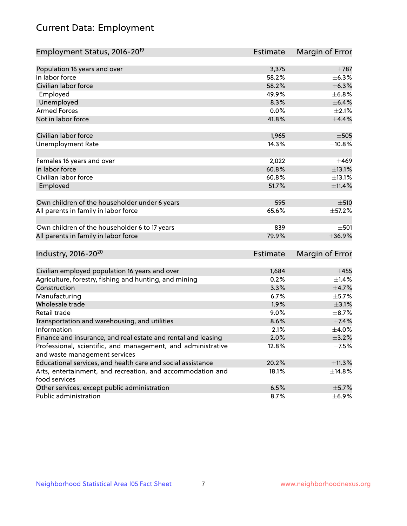# Current Data: Employment

| Employment Status, 2016-20 <sup>19</sup>                      | <b>Estimate</b> | Margin of Error |
|---------------------------------------------------------------|-----------------|-----------------|
|                                                               |                 |                 |
| Population 16 years and over                                  | 3,375           | $\pm 787$       |
| In labor force                                                | 58.2%           | $\pm$ 6.3%      |
| Civilian labor force                                          | 58.2%           | $\pm$ 6.3%      |
| Employed                                                      | 49.9%           | ±6.8%           |
| Unemployed                                                    | 8.3%            | $\pm$ 6.4%      |
| <b>Armed Forces</b>                                           | 0.0%            | $\pm 2.1\%$     |
| Not in labor force                                            | 41.8%           | $\pm$ 4.4%      |
| Civilian labor force                                          | 1,965           | $\pm 505$       |
| <b>Unemployment Rate</b>                                      | 14.3%           | ±10.8%          |
|                                                               |                 |                 |
| Females 16 years and over                                     | 2,022           | $\pm 469$       |
| In labor force                                                | 60.8%           | ±13.1%          |
| Civilian labor force                                          | 60.8%           | ±13.1%          |
| Employed                                                      | 51.7%           | ±11.4%          |
|                                                               |                 |                 |
| Own children of the householder under 6 years                 | 595             | $\pm$ 510       |
| All parents in family in labor force                          | 65.6%           | $\pm$ 57.2%     |
| Own children of the householder 6 to 17 years                 | 839             | $\pm$ 501       |
| All parents in family in labor force                          | 79.9%           | ±36.9%          |
|                                                               |                 |                 |
| Industry, 2016-20 <sup>20</sup>                               | Estimate        | Margin of Error |
|                                                               |                 |                 |
| Civilian employed population 16 years and over                | 1,684           | $\pm 455$       |
| Agriculture, forestry, fishing and hunting, and mining        | 0.2%            | $\pm$ 1.4%      |
| Construction                                                  | 3.3%            | $\pm$ 4.7%      |
| Manufacturing                                                 | 6.7%            | $\pm$ 5.7%      |
| Wholesale trade                                               | 1.9%            | $\pm 3.1\%$     |
| Retail trade                                                  | 9.0%            | $\pm$ 8.7%      |
| Transportation and warehousing, and utilities                 | 8.6%            | $\pm$ 7.4%      |
| Information                                                   | 2.1%            | $\pm$ 4.0%      |
| Finance and insurance, and real estate and rental and leasing | 2.0%            | $\pm$ 3.2%      |
| Professional, scientific, and management, and administrative  | 12.8%           | $\pm$ 7.5%      |
| and waste management services                                 |                 |                 |
| Educational services, and health care and social assistance   | 20.2%           | ±11.3%          |
| Arts, entertainment, and recreation, and accommodation and    | 18.1%           | ±14.8%          |
| food services                                                 |                 |                 |
| Other services, except public administration                  | 6.5%            | $\pm$ 5.7%      |
| Public administration                                         | 8.7%            | $\pm$ 6.9%      |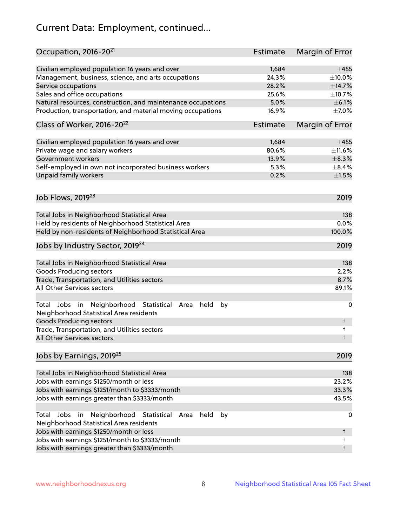# Current Data: Employment, continued...

| Occupation, 2016-20 <sup>21</sup>                                                                       | Estimate | Margin of Error |
|---------------------------------------------------------------------------------------------------------|----------|-----------------|
| Civilian employed population 16 years and over                                                          | 1,684    | $\pm 455$       |
| Management, business, science, and arts occupations                                                     | 24.3%    | $\pm$ 10.0%     |
| Service occupations                                                                                     | 28.2%    | ±14.7%          |
| Sales and office occupations                                                                            | 25.6%    | ±10.7%          |
| Natural resources, construction, and maintenance occupations                                            | 5.0%     | $\pm$ 6.1%      |
| Production, transportation, and material moving occupations                                             | 16.9%    | $\pm$ 7.0%      |
| Class of Worker, 2016-20 <sup>22</sup>                                                                  | Estimate | Margin of Error |
| Civilian employed population 16 years and over                                                          | 1,684    | $\pm 455$       |
| Private wage and salary workers                                                                         | 80.6%    | ±11.6%          |
| Government workers                                                                                      | 13.9%    | $\pm$ 8.3%      |
| Self-employed in own not incorporated business workers                                                  | 5.3%     | $\pm$ 8.4%      |
| Unpaid family workers                                                                                   | 0.2%     | $\pm 1.5\%$     |
| Job Flows, 2019 <sup>23</sup>                                                                           |          | 2019            |
|                                                                                                         |          |                 |
| Total Jobs in Neighborhood Statistical Area                                                             |          | 138             |
| Held by residents of Neighborhood Statistical Area                                                      |          | 0.0%            |
| Held by non-residents of Neighborhood Statistical Area                                                  |          | 100.0%          |
| Jobs by Industry Sector, 2019 <sup>24</sup>                                                             |          | 2019            |
| Total Jobs in Neighborhood Statistical Area                                                             |          | 138             |
| <b>Goods Producing sectors</b>                                                                          |          | 2.2%            |
| Trade, Transportation, and Utilities sectors                                                            |          | 8.7%            |
| All Other Services sectors                                                                              |          | 89.1%           |
| Total Jobs in Neighborhood Statistical<br>held<br>by<br>Area<br>Neighborhood Statistical Area residents |          | 0               |
| <b>Goods Producing sectors</b>                                                                          |          | t               |
| Trade, Transportation, and Utilities sectors<br>All Other Services sectors                              |          | t<br>t          |
|                                                                                                         |          |                 |
| Jobs by Earnings, 2019 <sup>25</sup>                                                                    |          | 2019            |
| Total Jobs in Neighborhood Statistical Area                                                             |          | 138             |
| Jobs with earnings \$1250/month or less                                                                 |          | 23.2%           |
| Jobs with earnings \$1251/month to \$3333/month                                                         |          | 33.3%           |
| Jobs with earnings greater than \$3333/month                                                            |          | 43.5%           |
| Neighborhood Statistical<br>Jobs<br>in<br>held<br>by<br>Total<br>Area                                   |          | 0               |
| Neighborhood Statistical Area residents                                                                 |          |                 |
| Jobs with earnings \$1250/month or less                                                                 |          | t               |
| Jobs with earnings \$1251/month to \$3333/month                                                         |          | t               |
| Jobs with earnings greater than \$3333/month                                                            |          | t               |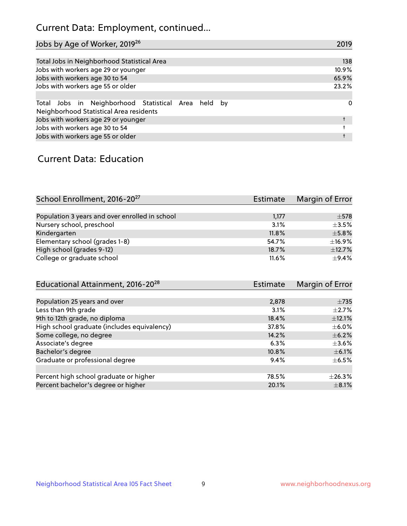## Current Data: Employment, continued...

| Jobs by Age of Worker, 2019 <sup>26</sup>                                                      | 2019  |
|------------------------------------------------------------------------------------------------|-------|
|                                                                                                |       |
| Total Jobs in Neighborhood Statistical Area                                                    | 138   |
| Jobs with workers age 29 or younger                                                            | 10.9% |
| Jobs with workers age 30 to 54                                                                 | 65.9% |
| Jobs with workers age 55 or older                                                              | 23.2% |
|                                                                                                |       |
| Total Jobs in Neighborhood Statistical Area held by<br>Neighborhood Statistical Area residents | 0     |
| Jobs with workers age 29 or younger                                                            |       |
| Jobs with workers age 30 to 54                                                                 |       |
| Jobs with workers age 55 or older                                                              |       |

### Current Data: Education

| School Enrollment, 2016-20 <sup>27</sup>       | Estimate | Margin of Error |
|------------------------------------------------|----------|-----------------|
|                                                |          |                 |
| Population 3 years and over enrolled in school | 1,177    | $\pm$ 578       |
| Nursery school, preschool                      | 3.1%     | $\pm$ 3.5%      |
| Kindergarten                                   | 11.8%    | $\pm$ 5.8%      |
| Elementary school (grades 1-8)                 | 54.7%    | ±16.9%          |
| High school (grades 9-12)                      | 18.7%    | ±12.7%          |
| College or graduate school                     | 11.6%    | $\pm$ 9.4%      |

| Educational Attainment, 2016-20 <sup>28</sup> | <b>Estimate</b> | Margin of Error |
|-----------------------------------------------|-----------------|-----------------|
|                                               |                 |                 |
| Population 25 years and over                  | 2,878           | $\pm 735$       |
| Less than 9th grade                           | 3.1%            | $\pm 2.7\%$     |
| 9th to 12th grade, no diploma                 | 18.4%           | $\pm$ 12.1%     |
| High school graduate (includes equivalency)   | 37.8%           | $\pm$ 6.0%      |
| Some college, no degree                       | 14.2%           | $\pm$ 6.2%      |
| Associate's degree                            | 6.3%            | $\pm 3.6\%$     |
| Bachelor's degree                             | 10.8%           | $\pm$ 6.1%      |
| Graduate or professional degree               | 9.4%            | $\pm$ 6.5%      |
|                                               |                 |                 |
| Percent high school graduate or higher        | 78.5%           | $\pm 26.3\%$    |
| Percent bachelor's degree or higher           | 20.1%           | $\pm$ 8.1%      |
|                                               |                 |                 |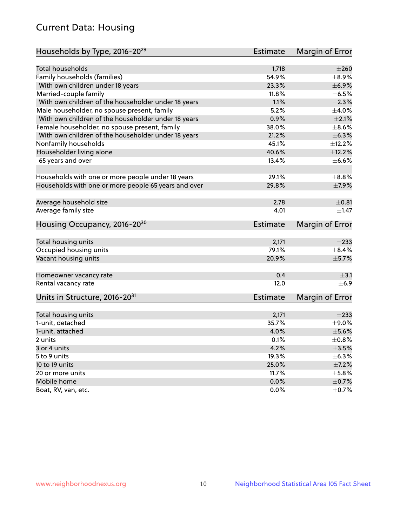## Current Data: Housing

| Households by Type, 2016-20 <sup>29</sup>            | <b>Estimate</b> | Margin of Error          |
|------------------------------------------------------|-----------------|--------------------------|
|                                                      |                 |                          |
| Total households                                     | 1,718           | $\pm 260$                |
| Family households (families)                         | 54.9%           | $\pm$ 8.9%               |
| With own children under 18 years                     | 23.3%           | $\pm$ 6.9%               |
| Married-couple family                                | 11.8%           | $\pm$ 6.5%               |
| With own children of the householder under 18 years  | 1.1%            | $\pm 2.3\%$              |
| Male householder, no spouse present, family          | 5.2%            | ±4.0%                    |
| With own children of the householder under 18 years  | 0.9%            | $\pm 2.1\%$              |
| Female householder, no spouse present, family        | 38.0%           | $\pm$ 8.6%               |
| With own children of the householder under 18 years  | 21.2%           | $\pm$ 6.3%               |
| Nonfamily households                                 | 45.1%           | ±12.2%                   |
| Householder living alone                             | 40.6%           | ±12.2%                   |
| 65 years and over                                    | 13.4%           | $\pm$ 6.6%               |
|                                                      |                 |                          |
| Households with one or more people under 18 years    | 29.1%           | $\pm$ 8.8%               |
| Households with one or more people 65 years and over | 29.8%           | $\pm$ 7.9%               |
| Average household size                               | 2.78            | $\pm$ 0.81               |
| Average family size                                  | 4.01            | ±1.47                    |
| Housing Occupancy, 2016-20 <sup>30</sup>             | Estimate        | Margin of Error          |
|                                                      |                 |                          |
| Total housing units                                  | 2,171           | $\pm 233$                |
| Occupied housing units                               | 79.1%           | $\pm$ 8.4%               |
| Vacant housing units                                 | 20.9%           | $\pm$ 5.7%               |
| Homeowner vacancy rate                               | 0.4             | $\pm$ 3.1                |
| Rental vacancy rate                                  | 12.0            | $\pm$ 6.9                |
| Units in Structure, 2016-20 <sup>31</sup>            | <b>Estimate</b> | Margin of Error          |
|                                                      |                 |                          |
| Total housing units                                  | 2,171           | $\pm 233$                |
| 1-unit, detached                                     | 35.7%           | $\pm$ 9.0%               |
| 1-unit, attached                                     | 4.0%            | $\pm$ 5.6%               |
| 2 units                                              | 0.1%            | $\pm$ 0.8%               |
| 3 or 4 units                                         | 4.2%            | $\pm$ 3.5%               |
| 5 to 9 units                                         | 19.3%           | $\pm$ 6.3%               |
| 10 to 19 units                                       | 25.0%           | $\pm$ 7.2%               |
| 20 or more units                                     | 11.7%           | $\pm$ 5.8%               |
|                                                      |                 |                          |
| Mobile home<br>Boat, RV, van, etc.                   | 0.0%<br>$0.0\%$ | $\pm$ 0.7%<br>$\pm$ 0.7% |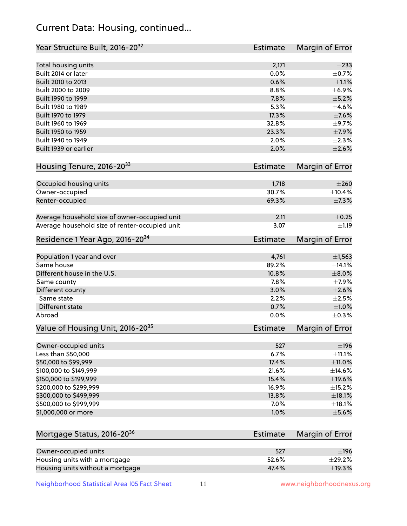## Current Data: Housing, continued...

| Year Structure Built, 2016-20 <sup>32</sup>    | <b>Estimate</b> | Margin of Error |
|------------------------------------------------|-----------------|-----------------|
| Total housing units                            | 2,171           | $\pm 233$       |
| Built 2014 or later                            | 0.0%            | $\pm$ 0.7%      |
| Built 2010 to 2013                             | 0.6%            | $\pm 1.1\%$     |
| Built 2000 to 2009                             | 8.8%            | $\pm$ 6.9%      |
| Built 1990 to 1999                             | 7.8%            | $\pm$ 5.2%      |
| Built 1980 to 1989                             | 5.3%            | $\pm$ 4.6%      |
| Built 1970 to 1979                             | 17.3%           | $\pm$ 7.6%      |
| Built 1960 to 1969                             | 32.8%           | $\pm$ 9.7%      |
| Built 1950 to 1959                             | 23.3%           | $\pm$ 7.9%      |
| Built 1940 to 1949                             | 2.0%            | $\pm 2.3\%$     |
| Built 1939 or earlier                          | 2.0%            | $\pm 2.6\%$     |
|                                                |                 |                 |
| Housing Tenure, 2016-2033                      | <b>Estimate</b> | Margin of Error |
| Occupied housing units                         | 1,718           | $\pm 260$       |
| Owner-occupied                                 | 30.7%           | ±10.4%          |
| Renter-occupied                                | 69.3%           | $\pm$ 7.3%      |
|                                                |                 |                 |
| Average household size of owner-occupied unit  | 2.11            | $\pm$ 0.25      |
| Average household size of renter-occupied unit | 3.07            | $\pm 1.19$      |
| Residence 1 Year Ago, 2016-20 <sup>34</sup>    | <b>Estimate</b> | Margin of Error |
|                                                |                 |                 |
| Population 1 year and over                     | 4,761           | $\pm$ 1,563     |
| Same house                                     | 89.2%           | ±14.1%          |
| Different house in the U.S.                    | 10.8%           | $\pm 8.0\%$     |
| Same county                                    | 7.8%            | $\pm$ 7.9%      |
| Different county                               | 3.0%            | $\pm 2.6\%$     |
| Same state                                     | 2.2%            | $\pm 2.5\%$     |
| <b>Different state</b>                         | 0.7%            | $\pm 1.0\%$     |
| Abroad                                         | 0.0%            | $\pm$ 0.3%      |
| Value of Housing Unit, 2016-20 <sup>35</sup>   | <b>Estimate</b> | Margin of Error |
| Owner-occupied units                           | 527             | $\pm$ 196       |
| Less than \$50,000                             | 6.7%            | $\pm$ 11.1%     |
| \$50,000 to \$99,999                           | 17.4%           | $\pm$ 11.0%     |
| \$100,000 to \$149,999                         | 21.6%           | ±14.6%          |
| \$150,000 to \$199,999                         | 15.4%           | $\pm$ 19.6%     |
| \$200,000 to \$299,999                         | 16.9%           | ±15.2%          |
| \$300,000 to \$499,999                         | 13.8%           | $\pm$ 18.1%     |
| \$500,000 to \$999,999                         | 7.0%            | ±18.1%          |
| \$1,000,000 or more                            | 1.0%            | $\pm$ 5.6%      |
|                                                |                 |                 |
| Mortgage Status, 2016-20 <sup>36</sup>         | <b>Estimate</b> | Margin of Error |
| Owner-occupied units                           | 527             | $\pm$ 196       |
| Housing units with a mortgage                  | 52.6%           | ±29.2%          |
| Housing units without a mortgage               | 47.4%           | ±19.3%          |
|                                                |                 |                 |

Neighborhood Statistical Area I05 Fact Sheet 11 11 www.neighborhoodnexus.org

Housing units without a mortgage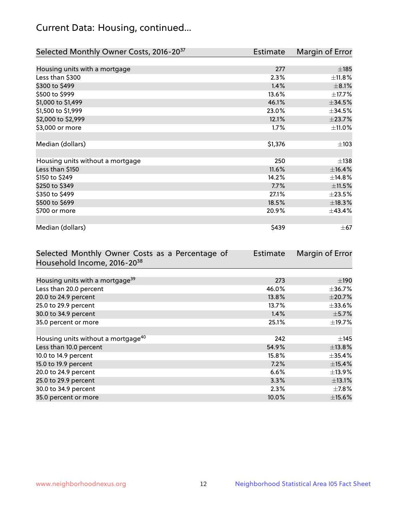## Current Data: Housing, continued...

| Selected Monthly Owner Costs, 2016-20 <sup>37</sup> | <b>Estimate</b> | Margin of Error |
|-----------------------------------------------------|-----------------|-----------------|
|                                                     |                 |                 |
| Housing units with a mortgage                       | 277             | $\pm 185$       |
| Less than \$300                                     | 2.3%            | ±11.8%          |
| \$300 to \$499                                      | 1.4%            | $\pm$ 8.1%      |
| \$500 to \$999                                      | 13.6%           | ±17.7%          |
| \$1,000 to \$1,499                                  | 46.1%           | $\pm$ 34.5%     |
| \$1,500 to \$1,999                                  | 23.0%           | $\pm$ 34.5%     |
| \$2,000 to \$2,999                                  | 12.1%           | ±23.7%          |
| \$3,000 or more                                     | 1.7%            | $\pm$ 11.0%     |
|                                                     |                 |                 |
| Median (dollars)                                    | \$1,376         | $\pm$ 103       |
|                                                     |                 |                 |
| Housing units without a mortgage                    | 250             | $\pm$ 138       |
| Less than \$150                                     | 11.6%           | ±16.4%          |
| \$150 to \$249                                      | 14.2%           | ±14.8%          |
| \$250 to \$349                                      | 7.7%            | $\pm 11.5\%$    |
| \$350 to \$499                                      | 27.1%           | $\pm 23.5\%$    |
| \$500 to \$699                                      | 18.5%           | ±18.3%          |
| \$700 or more                                       | 20.9%           | ±43.4%          |
|                                                     |                 |                 |
| Median (dollars)                                    | \$439           | $\pm$ 67        |

| Selected Monthly Owner Costs as a Percentage of | <b>Estimate</b> | Margin of Error |
|-------------------------------------------------|-----------------|-----------------|
| Household Income, 2016-20 <sup>38</sup>         |                 |                 |
|                                                 |                 |                 |
| Housing units with a mortgage <sup>39</sup>     | 273             | $\pm$ 190       |
| Less than 20.0 percent                          | 46.0%           | $\pm$ 36.7%     |
| 20.0 to 24.9 percent                            | 13.8%           | $\pm 20.7\%$    |
| 25.0 to 29.9 percent                            | 13.7%           | $\pm$ 33.6%     |
| 30.0 to 34.9 percent                            | 1.4%            | $\pm$ 5.7%      |
| 35.0 percent or more                            | 25.1%           | $\pm$ 19.7%     |
|                                                 |                 |                 |
| Housing units without a mortgage <sup>40</sup>  | 242             | $\pm$ 145       |
| Less than 10.0 percent                          | 54.9%           | ±13.8%          |
| 10.0 to 14.9 percent                            | 15.8%           | $\pm$ 35.4%     |
| 15.0 to 19.9 percent                            | 7.2%            | $\pm$ 15.4%     |
| 20.0 to 24.9 percent                            | 6.6%            | ±13.9%          |
| 25.0 to 29.9 percent                            | 3.3%            | ±13.1%          |
| 30.0 to 34.9 percent                            | 2.3%            | $\pm$ 7.8%      |
| 35.0 percent or more                            | 10.0%           | $\pm$ 15.6%     |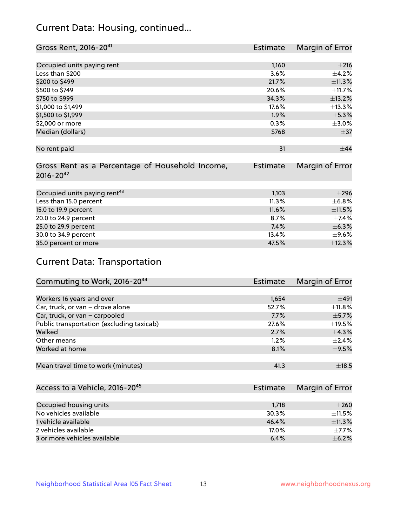## Current Data: Housing, continued...

| Gross Rent, 2016-20 <sup>41</sup>               | <b>Estimate</b> | Margin of Error |
|-------------------------------------------------|-----------------|-----------------|
|                                                 |                 |                 |
| Occupied units paying rent                      | 1,160           | $\pm 216$       |
| Less than \$200                                 | 3.6%            | $\pm$ 4.2%      |
| \$200 to \$499                                  | 21.7%           | ±11.3%          |
| \$500 to \$749                                  | 20.6%           | $\pm$ 11.7%     |
| \$750 to \$999                                  | 34.3%           | ±13.2%          |
| \$1,000 to \$1,499                              | 17.6%           | ±13.3%          |
| \$1,500 to \$1,999                              | 1.9%            | $\pm$ 5.3%      |
| \$2,000 or more                                 | 0.3%            | $\pm 3.0\%$     |
| Median (dollars)                                | \$768           | $\pm$ 37        |
|                                                 |                 |                 |
| No rent paid                                    | 31              | $+44$           |
| Gross Rent as a Percentage of Household Income, | <b>Estimate</b> | Margin of Error |
| $2016 - 20^{42}$                                |                 |                 |
|                                                 |                 | $\pm 296$       |
| Occupied units paying rent <sup>43</sup>        | 1,103           |                 |
| Less than 15.0 percent                          | 11.3%           | $\pm$ 6.8%      |
| 15.0 to 19.9 percent                            | 11.6%           | ±11.5%          |
| 20.0 to 24.9 percent                            | 8.7%            | $\pm$ 7.4%      |
| 25.0 to 29.9 percent                            | 7.4%            | $\pm$ 6.3%      |
| 30.0 to 34.9 percent                            | 13.4%           | $\pm$ 9.6%      |
| 35.0 percent or more                            | 47.5%           | ±12.3%          |

# Current Data: Transportation

| Commuting to Work, 2016-20 <sup>44</sup>  | Estimate | Margin of Error |
|-------------------------------------------|----------|-----------------|
|                                           |          |                 |
| Workers 16 years and over                 | 1,654    | ±491            |
| Car, truck, or van - drove alone          | 52.7%    | $\pm$ 11.8%     |
| Car, truck, or van - carpooled            | 7.7%     | $\pm$ 5.7%      |
| Public transportation (excluding taxicab) | 27.6%    | $\pm$ 19.5%     |
| Walked                                    | 2.7%     | $\pm$ 4.3%      |
| Other means                               | 1.2%     | $\pm 2.4\%$     |
| Worked at home                            | 8.1%     | $\pm$ 9.5%      |
|                                           |          |                 |
| Mean travel time to work (minutes)        | 41.3     | $\pm$ 18.5      |

| Access to a Vehicle, 2016-20 <sup>45</sup> | Estimate | Margin of Error |
|--------------------------------------------|----------|-----------------|
|                                            |          |                 |
| Occupied housing units                     | 1,718    | $\pm 260$       |
| No vehicles available                      | 30.3%    | $+11.5%$        |
| 1 vehicle available                        | 46.4%    | $\pm$ 11.3%     |
| 2 vehicles available                       | 17.0%    | $+7.7%$         |
| 3 or more vehicles available               | 6.4%     | $+6.2%$         |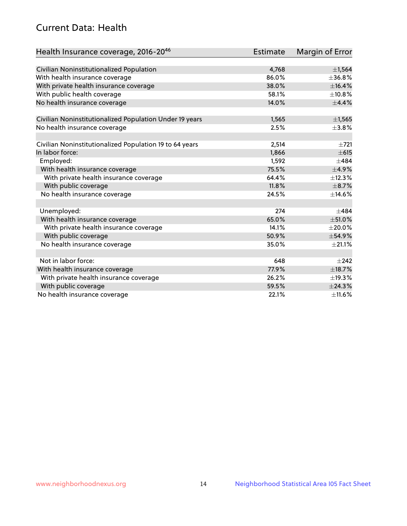## Current Data: Health

| Health Insurance coverage, 2016-2046                    | <b>Estimate</b> | <b>Margin of Error</b> |
|---------------------------------------------------------|-----------------|------------------------|
|                                                         |                 |                        |
| Civilian Noninstitutionalized Population                | 4,768           | ±1,564                 |
| With health insurance coverage                          | 86.0%           | ±36.8%                 |
| With private health insurance coverage                  | 38.0%           | ±16.4%                 |
| With public health coverage                             | 58.1%           | ±10.8%                 |
| No health insurance coverage                            | 14.0%           | ±4.4%                  |
| Civilian Noninstitutionalized Population Under 19 years | 1,565           | ±1,565                 |
| No health insurance coverage                            | 2.5%            | ±3.8%                  |
|                                                         |                 |                        |
| Civilian Noninstitutionalized Population 19 to 64 years | 2,514           | $\pm 721$              |
| In labor force:                                         | 1,866           | $\pm 615$              |
| Employed:                                               | 1,592           | $\pm$ 484              |
| With health insurance coverage                          | 75.5%           | $\pm$ 4.9%             |
| With private health insurance coverage                  | 64.4%           | ±12.3%                 |
| With public coverage                                    | 11.8%           | $\pm$ 8.7%             |
| No health insurance coverage                            | 24.5%           | ±14.6%                 |
| Unemployed:                                             | 274             | $+484$                 |
| With health insurance coverage                          | 65.0%           | $\pm$ 51.0%            |
| With private health insurance coverage                  | 14.1%           | $\pm 20.0\%$           |
| With public coverage                                    | 50.9%           | ±54.9%                 |
| No health insurance coverage                            | 35.0%           | $\pm 21.1\%$           |
|                                                         |                 |                        |
| Not in labor force:                                     | 648             | $+242$                 |
| With health insurance coverage                          | 77.9%           | ±18.7%                 |
| With private health insurance coverage                  | 26.2%           | ±19.3%                 |
| With public coverage                                    | 59.5%           | ±24.3%                 |
| No health insurance coverage                            | 22.1%           | $\pm$ 11.6%            |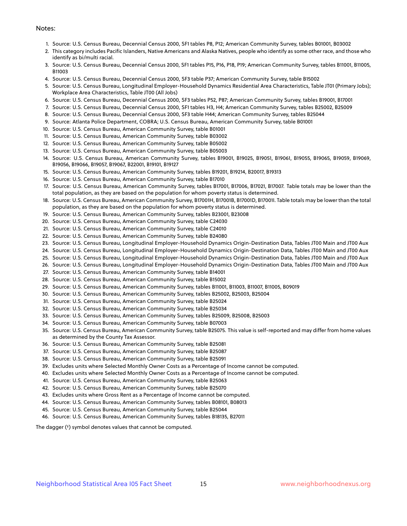#### Notes:

- 1. Source: U.S. Census Bureau, Decennial Census 2000, SF1 tables P8, P12; American Community Survey, tables B01001, B03002
- 2. This category includes Pacific Islanders, Native Americans and Alaska Natives, people who identify as some other race, and those who identify as bi/multi racial.
- 3. Source: U.S. Census Bureau, Decennial Census 2000, SF1 tables P15, P16, P18, P19; American Community Survey, tables B11001, B11005, B11003
- 4. Source: U.S. Census Bureau, Decennial Census 2000, SF3 table P37; American Community Survey, table B15002
- 5. Source: U.S. Census Bureau, Longitudinal Employer-Household Dynamics Residential Area Characteristics, Table JT01 (Primary Jobs); Workplace Area Characteristics, Table JT00 (All Jobs)
- 6. Source: U.S. Census Bureau, Decennial Census 2000, SF3 tables P52, P87; American Community Survey, tables B19001, B17001
- 7. Source: U.S. Census Bureau, Decennial Census 2000, SF1 tables H3, H4; American Community Survey, tables B25002, B25009
- 8. Source: U.S. Census Bureau, Decennial Census 2000, SF3 table H44; American Community Survey, tables B25044
- 9. Source: Atlanta Police Department, COBRA; U.S. Census Bureau, American Community Survey, table B01001
- 10. Source: U.S. Census Bureau, American Community Survey, table B01001
- 11. Source: U.S. Census Bureau, American Community Survey, table B03002
- 12. Source: U.S. Census Bureau, American Community Survey, table B05002
- 13. Source: U.S. Census Bureau, American Community Survey, table B05003
- 14. Source: U.S. Census Bureau, American Community Survey, tables B19001, B19025, B19051, B19061, B19055, B19065, B19059, B19069, B19056, B19066, B19057, B19067, B22001, B19101, B19127
- 15. Source: U.S. Census Bureau, American Community Survey, tables B19201, B19214, B20017, B19313
- 16. Source: U.S. Census Bureau, American Community Survey, table B17010
- 17. Source: U.S. Census Bureau, American Community Survey, tables B17001, B17006, B17021, B17007. Table totals may be lower than the total population, as they are based on the population for whom poverty status is determined.
- 18. Source: U.S. Census Bureau, American Community Survey, B17001H, B17001B, B17001D, B17001I. Table totals may be lower than the total population, as they are based on the population for whom poverty status is determined.
- 19. Source: U.S. Census Bureau, American Community Survey, tables B23001, B23008
- 20. Source: U.S. Census Bureau, American Community Survey, table C24030
- 21. Source: U.S. Census Bureau, American Community Survey, table C24010
- 22. Source: U.S. Census Bureau, American Community Survey, table B24080
- 23. Source: U.S. Census Bureau, Longitudinal Employer-Household Dynamics Origin-Destination Data, Tables JT00 Main and JT00 Aux
- 24. Source: U.S. Census Bureau, Longitudinal Employer-Household Dynamics Origin-Destination Data, Tables JT00 Main and JT00 Aux
- 25. Source: U.S. Census Bureau, Longitudinal Employer-Household Dynamics Origin-Destination Data, Tables JT00 Main and JT00 Aux
- 26. Source: U.S. Census Bureau, Longitudinal Employer-Household Dynamics Origin-Destination Data, Tables JT00 Main and JT00 Aux
- 27. Source: U.S. Census Bureau, American Community Survey, table B14001
- 28. Source: U.S. Census Bureau, American Community Survey, table B15002
- 29. Source: U.S. Census Bureau, American Community Survey, tables B11001, B11003, B11007, B11005, B09019
- 30. Source: U.S. Census Bureau, American Community Survey, tables B25002, B25003, B25004
- 31. Source: U.S. Census Bureau, American Community Survey, table B25024
- 32. Source: U.S. Census Bureau, American Community Survey, table B25034
- 33. Source: U.S. Census Bureau, American Community Survey, tables B25009, B25008, B25003
- 34. Source: U.S. Census Bureau, American Community Survey, table B07003
- 35. Source: U.S. Census Bureau, American Community Survey, table B25075. This value is self-reported and may differ from home values as determined by the County Tax Assessor.
- 36. Source: U.S. Census Bureau, American Community Survey, table B25081
- 37. Source: U.S. Census Bureau, American Community Survey, table B25087
- 38. Source: U.S. Census Bureau, American Community Survey, table B25091
- 39. Excludes units where Selected Monthly Owner Costs as a Percentage of Income cannot be computed.
- 40. Excludes units where Selected Monthly Owner Costs as a Percentage of Income cannot be computed.
- 41. Source: U.S. Census Bureau, American Community Survey, table B25063
- 42. Source: U.S. Census Bureau, American Community Survey, table B25070
- 43. Excludes units where Gross Rent as a Percentage of Income cannot be computed.
- 44. Source: U.S. Census Bureau, American Community Survey, tables B08101, B08013
- 45. Source: U.S. Census Bureau, American Community Survey, table B25044
- 46. Source: U.S. Census Bureau, American Community Survey, tables B18135, B27011

The dagger (†) symbol denotes values that cannot be computed.